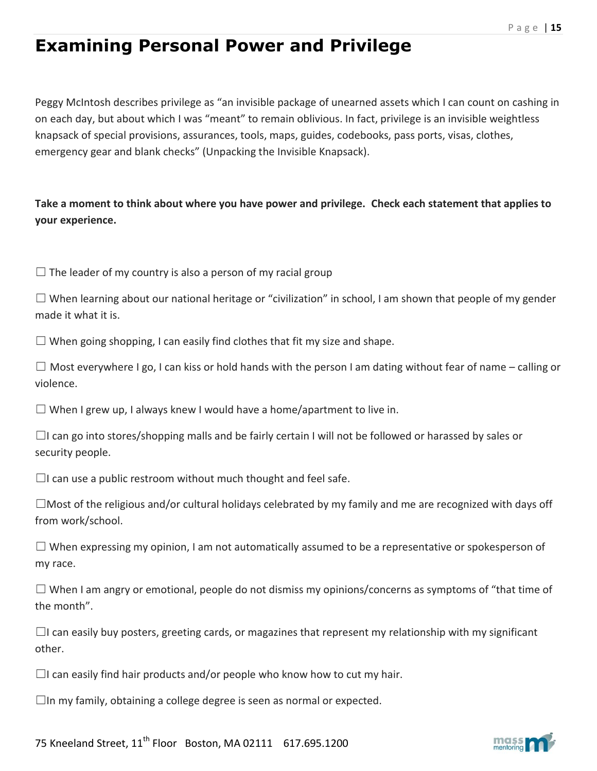## **Examining Personal Power and Privilege**

Peggy McIntosh describes privilege as "an invisible package of unearned assets which I can count on cashing in on each day, but about which I was "meant" to remain oblivious. In fact, privilege is an invisible weightless knapsack of special provisions, assurances, tools, maps, guides, codebooks, pass ports, visas, clothes, emergency gear and blank checks" (Unpacking the Invisible Knapsack).

**Take a moment to think about where you have power and privilege. Check each statement that applies to your experience.** 

 $\Box$  The leader of my country is also a person of my racial group

 $\Box$  When learning about our national heritage or "civilization" in school, I am shown that people of my gender made it what it is.

 $\Box$  When going shopping, I can easily find clothes that fit my size and shape.

 $\Box$  Most everywhere I go, I can kiss or hold hands with the person I am dating without fear of name – calling or violence.

 $\Box$  When I grew up, I always knew I would have a home/apartment to live in.

 $\Box$ I can go into stores/shopping malls and be fairly certain I will not be followed or harassed by sales or security people.

 $\Box$ I can use a public restroom without much thought and feel safe.

 $\square$ Most of the religious and/or cultural holidays celebrated by my family and me are recognized with days off from work/school.

 $\square$  When expressing my opinion, I am not automatically assumed to be a representative or spokesperson of my race.

 $\square$  When I am angry or emotional, people do not dismiss my opinions/concerns as symptoms of "that time of the month".

 $\Box$ I can easily buy posters, greeting cards, or magazines that represent my relationship with my significant other.

 $\Box$ I can easily find hair products and/or people who know how to cut my hair.

 $\square$ In my family, obtaining a college degree is seen as normal or expected.